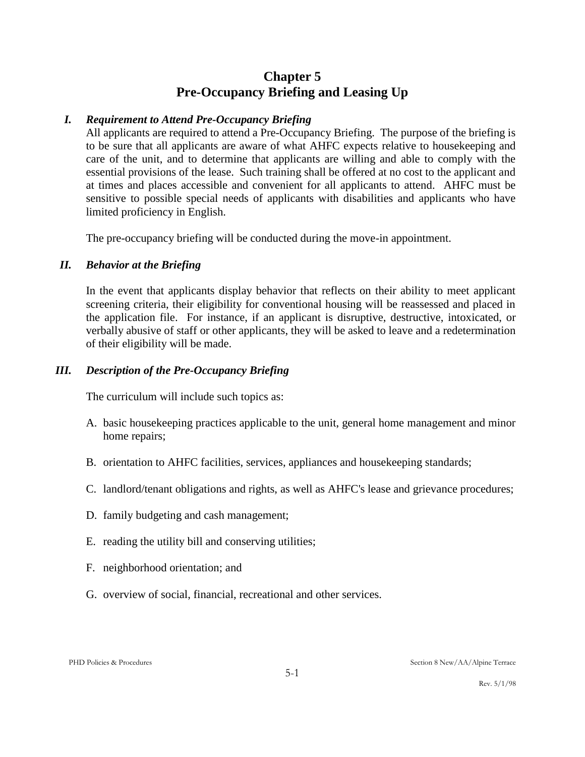# **Chapter 5 Pre-Occupancy Briefing and Leasing Up**

# *I. Requirement to Attend Pre-Occupancy Briefing*

All applicants are required to attend a Pre-Occupancy Briefing. The purpose of the briefing is to be sure that all applicants are aware of what AHFC expects relative to housekeeping and care of the unit, and to determine that applicants are willing and able to comply with the essential provisions of the lease. Such training shall be offered at no cost to the applicant and at times and places accessible and convenient for all applicants to attend. AHFC must be sensitive to possible special needs of applicants with disabilities and applicants who have limited proficiency in English.

The pre-occupancy briefing will be conducted during the move-in appointment.

# *II. Behavior at the Briefing*

In the event that applicants display behavior that reflects on their ability to meet applicant screening criteria, their eligibility for conventional housing will be reassessed and placed in the application file. For instance, if an applicant is disruptive, destructive, intoxicated, or verbally abusive of staff or other applicants, they will be asked to leave and a redetermination of their eligibility will be made.

# *III. Description of the Pre-Occupancy Briefing*

The curriculum will include such topics as:

- A. basic housekeeping practices applicable to the unit, general home management and minor home repairs;
- B. orientation to AHFC facilities, services, appliances and housekeeping standards;
- C. landlord/tenant obligations and rights, as well as AHFC's lease and grievance procedures;
- D. family budgeting and cash management;
- E. reading the utility bill and conserving utilities;
- F. neighborhood orientation; and
- G. overview of social, financial, recreational and other services.

Rev. 5/1/98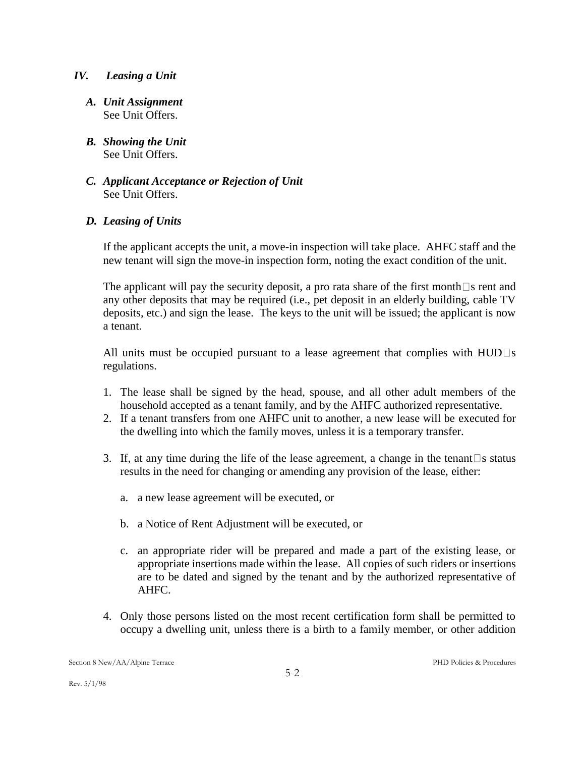#### *IV. Leasing a Unit*

- *A. Unit Assignment* See Unit Offers.
- *B. Showing the Unit* See Unit Offers.
- *C. Applicant Acceptance or Rejection of Unit* See Unit Offers.

#### *D. Leasing of Units*

If the applicant accepts the unit, a move-in inspection will take place. AHFC staff and the new tenant will sign the move-in inspection form, noting the exact condition of the unit.

The applicant will pay the security deposit, a pro rata share of the first month  $\Box$  s rent and any other deposits that may be required (i.e., pet deposit in an elderly building, cable TV deposits, etc.) and sign the lease. The keys to the unit will be issued; the applicant is now a tenant.

All units must be occupied pursuant to a lease agreement that complies with  $HUD\square s$ regulations.

- 1. The lease shall be signed by the head, spouse, and all other adult members of the household accepted as a tenant family, and by the AHFC authorized representative.
- 2. If a tenant transfers from one AHFC unit to another, a new lease will be executed for the dwelling into which the family moves, unless it is a temporary transfer.
- 3. If, at any time during the life of the lease agreement, a change in the tenant  $\Box$  s status results in the need for changing or amending any provision of the lease, either:
	- a. a new lease agreement will be executed, or
	- b. a Notice of Rent Adjustment will be executed, or
	- c. an appropriate rider will be prepared and made a part of the existing lease, or appropriate insertions made within the lease. All copies of such riders or insertions are to be dated and signed by the tenant and by the authorized representative of AHFC.
- 4. Only those persons listed on the most recent certification form shall be permitted to occupy a dwelling unit, unless there is a birth to a family member, or other addition

Rev. 5/1/98